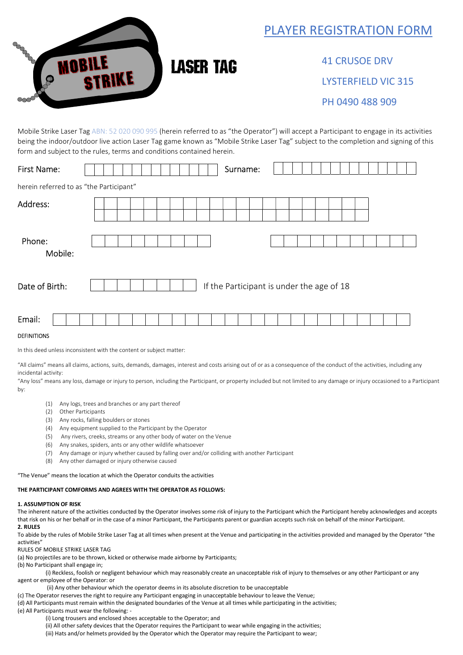## PLAYER REGISTRATION FORM



 41 CRUSOE DRV LYSTERFIELD VIC 315 PH 0490 488 909

Mobile Strike Laser Tag ABN: 52 020 090 995 (herein referred to as "the Operator") will accept a Participant to engage in its activities being the indoor/outdoor live action Laser Tag game known as "Mobile Strike Laser Tag" subject to the completion and signing of this form and subject to the rules, terms and conditions contained herein.

| <b>First Name:</b>                      |  |  |  |  |  |  | Surname:                                  |  |  |  |  |  |  |  |  |
|-----------------------------------------|--|--|--|--|--|--|-------------------------------------------|--|--|--|--|--|--|--|--|
| herein referred to as "the Participant" |  |  |  |  |  |  |                                           |  |  |  |  |  |  |  |  |
| Address:                                |  |  |  |  |  |  |                                           |  |  |  |  |  |  |  |  |
|                                         |  |  |  |  |  |  |                                           |  |  |  |  |  |  |  |  |
| Phone:<br>Mobile:                       |  |  |  |  |  |  |                                           |  |  |  |  |  |  |  |  |
| Date of Birth:                          |  |  |  |  |  |  | If the Participant is under the age of 18 |  |  |  |  |  |  |  |  |
| Email:                                  |  |  |  |  |  |  |                                           |  |  |  |  |  |  |  |  |

## DEFINITIONS

In this deed unless inconsistent with the content or subject matter:

"All claims" means all claims, actions, suits, demands, damages, interest and costs arising out of or as a consequence of the conduct of the activities, including any incidental activity:

"Any loss" means any loss, damage or injury to person, including the Participant, or property included but not limited to any damage or injury occasioned to a Participant by:

- (1) Any logs, trees and branches or any part thereof
- (2) Other Participants
- (3) Any rocks, falling boulders or stones
- (4) Any equipment supplied to the Participant by the Operator
- (5) Any rivers, creeks, streams or any other body of water on the Venue
- (6) Any snakes, spiders, ants or any other wildlife whatsoever
- (7) Any damage or injury whether caused by falling over and/or colliding with another Participant
- (8) Any other damaged or injury otherwise caused

"The Venue" means the location at which the Operator conduits the activities

## THE PARTICIPANT COMFORMS AND AGREES WITH THE OPERATOR AS FOLLOWS:

## 1. ASSUMPTION OF RISK

The inherent nature of the activities conducted by the Operator involves some risk of injury to the Participant which the Participant hereby acknowledges and accepts that risk on his or her behalf or in the case of a minor Participant, the Participants parent or guardian accepts such risk on behalf of the minor Participant. 2. RULES

To abide by the rules of Mobile Strike Laser Tag at all times when present at the Venue and participating in the activities provided and managed by the Operator "the activities"

RULES OF MOBILE STRIKE LASER TAG

(a) No projectiles are to be thrown, kicked or otherwise made airborne by Participants;

(b) No Participant shall engage in;

 (i) Reckless, foolish or negligent behaviour which may reasonably create an unacceptable risk of injury to themselves or any other Participant or any agent or employee of the Operator: or

(ii) Any other behaviour which the operator deems in its absolute discretion to be unacceptable

(c) The Operator reserves the right to require any Participant engaging in unacceptable behaviour to leave the Venue;

(d) All Participants must remain within the designated boundaries of the Venue at all times while participating in the activities;

(e) All Participants must wear the following: -

(i) Long trousers and enclosed shoes acceptable to the Operator; and

(ii) All other safety devices that the Operator requires the Participant to wear while engaging in the activities;

(iii) Hats and/or helmets provided by the Operator which the Operator may require the Participant to wear;